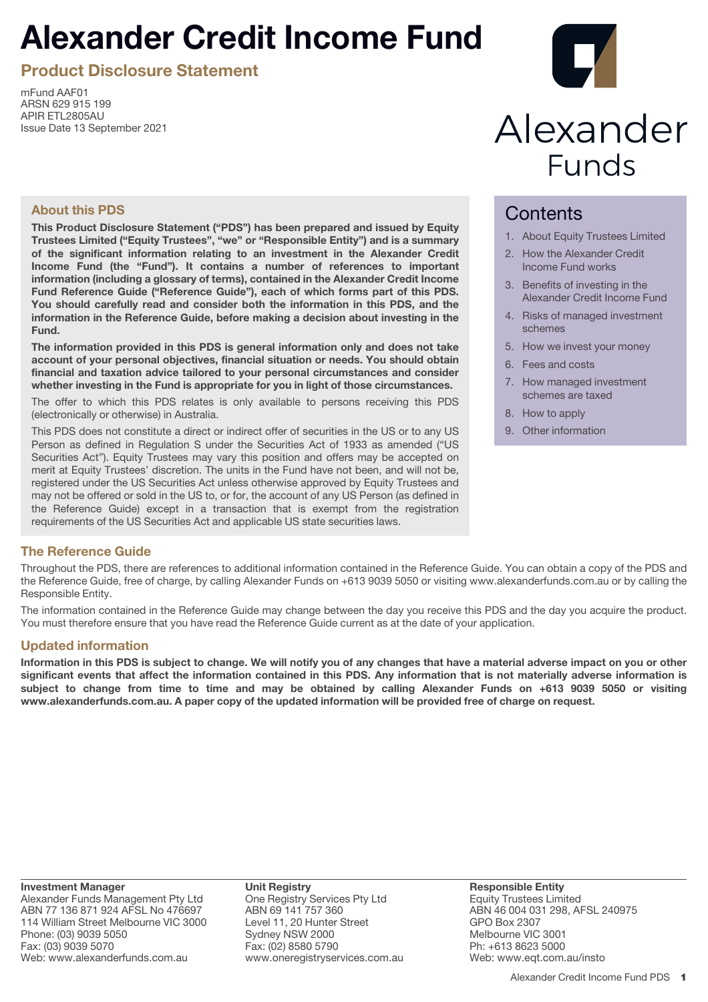# **Alexander Credit Income Fund**

**Product Disclosure Statement**

mFund AAF01 ARSN 629 915 199 APIR ETL2805AU Issue Date 13 September 2021



# Alexander **Funds**

# **About this PDS**

**This Product Disclosure Statement ("PDS") has been prepared and issued by Equity Trustees Limited ("Equity Trustees", "we" or "Responsible Entity") and is a summary of the significant information relating to an investment in the Alexander Credit Income Fund (the "Fund"). It contains a number of references to important information (including a glossary of terms), contained in the Alexander Credit Income Fund Reference Guide ("Reference Guide"), each of which forms part of this PDS. You should carefully read and consider both the information in this PDS, and the information in the Reference Guide, before making a decision about investing in the Fund.**

**The information provided in this PDS is general information only and does not take account of your personal objectives, financial situation or needs. You should obtain financial and taxation advice tailored to your personal circumstances and consider whether investing in the Fund is appropriate for you in light of those circumstances.**

The offer to which this PDS relates is only available to persons receiving this PDS (electronically or otherwise) in Australia.

This PDS does not constitute a direct or indirect offer of securities in the US or to any US Person as defined in Regulation S under the Securities Act of 1933 as amended ("US Securities Act"). Equity Trustees may vary this position and offers may be accepted on merit at Equity Trustees' discretion. The units in the Fund have not been, and will not be, registered under the US Securities Act unless otherwise approved by Equity Trustees and may not be offered or sold in the US to, or for, the account of any US Person (as defined in the Reference Guide) except in a transaction that is exempt from the registration requirements of the US Securities Act and applicable US state securities laws.

# **Contents**

- 1. About Equity Trustees Limited
- 2. How the Alexander Credit Income Fund works
- 3. Benefits of investing in the Alexander Credit Income Fund
- 4. Risks of managed investment schemes
- 5. How we invest your money
- 6. Fees and costs
- 7. How managed investment schemes are taxed
- 8. How to apply
- 9. Other information

# **The Reference Guide**

Throughout the PDS, there are references to additional information contained in the Reference Guide. You can obtain a copy of the PDS and the Reference Guide, free of charge, by calling Alexander Funds on +613 9039 5050 or visiting www.alexanderfunds.com.au or by calling the Responsible Entity.

The information contained in the Reference Guide may change between the day you receive this PDS and the day you acquire the product. You must therefore ensure that you have read the Reference Guide current as at the date of your application.

# **Updated information**

**Information in this PDS is subject to change. We will notify you of any changes that have a material adverse impact on you or other significant events that affect the information contained in this PDS. Any information that is not materially adverse information is subject to change from time to time and may be obtained by calling Alexander Funds on +613 9039 5050 or visiting www.alexanderfunds.com.au. A paper copy of the updated information will be provided free of charge on request.**

**Investment Manager** Alexander Funds Management Pty Ltd ABN 77 136 871 924 AFSL No 476697 114 William Street Melbourne VIC 3000 Phone: (03) 9039 5050 Fax: (03) 9039 5070 Web: www.alexanderfunds.com.au

**Unit Registry** One Registry Services Pty Ltd ABN 69 141 757 360 Level 11, 20 Hunter Street Sydney NSW 2000 Fax: (02) 8580 5790 www.oneregistryservices.com.au **Responsible Entity** Equity Trustees Limited ABN 46 004 031 298, AFSL 240975 GPO Box 2307 Melbourne VIC 3001 Ph: +613 8623 5000 Web: www.eqt.com.au/insto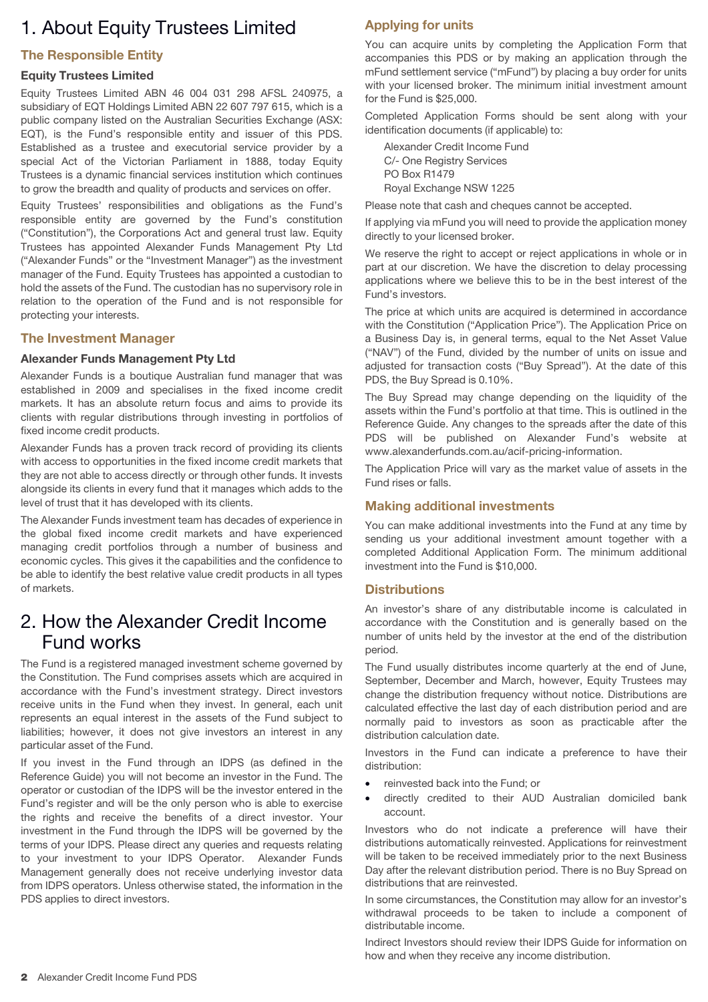# 1. About Equity Trustees Limited

# **The Responsible Entity**

#### **Equity Trustees Limited**

Equity Trustees Limited ABN 46 004 031 298 AFSL 240975, a subsidiary of EQT Holdings Limited ABN 22 607 797 615, which is a public company listed on the Australian Securities Exchange (ASX: EQT), is the Fund's responsible entity and issuer of this PDS. Established as a trustee and executorial service provider by a special Act of the Victorian Parliament in 1888, today Equity Trustees is a dynamic financial services institution which continues to grow the breadth and quality of products and services on offer.

Equity Trustees' responsibilities and obligations as the Fund's responsible entity are governed by the Fund's constitution ("Constitution"), the Corporations Act and general trust law. Equity Trustees has appointed Alexander Funds Management Pty Ltd ("Alexander Funds" or the "Investment Manager") as the investment manager of the Fund. Equity Trustees has appointed a custodian to hold the assets of the Fund. The custodian has no supervisory role in relation to the operation of the Fund and is not responsible for protecting your interests.

# **The Investment Manager**

#### **Alexander Funds Management Pty Ltd**

Alexander Funds is a boutique Australian fund manager that was established in 2009 and specialises in the fixed income credit markets. It has an absolute return focus and aims to provide its clients with regular distributions through investing in portfolios of fixed income credit products.

Alexander Funds has a proven track record of providing its clients with access to opportunities in the fixed income credit markets that they are not able to access directly or through other funds. It invests alongside its clients in every fund that it manages which adds to the level of trust that it has developed with its clients.

The Alexander Funds investment team has decades of experience in the global fixed income credit markets and have experienced managing credit portfolios through a number of business and economic cycles. This gives it the capabilities and the confidence to be able to identify the best relative value credit products in all types of markets.

# 2. How the Alexander Credit Income Fund works

The Fund is a registered managed investment scheme governed by the Constitution. The Fund comprises assets which are acquired in accordance with the Fund's investment strategy. Direct investors receive units in the Fund when they invest. In general, each unit represents an equal interest in the assets of the Fund subject to liabilities; however, it does not give investors an interest in any particular asset of the Fund.

If you invest in the Fund through an IDPS (as defined in the Reference Guide) you will not become an investor in the Fund. The operator or custodian of the IDPS will be the investor entered in the Fund's register and will be the only person who is able to exercise the rights and receive the benefits of a direct investor. Your investment in the Fund through the IDPS will be governed by the terms of your IDPS. Please direct any queries and requests relating to your investment to your IDPS Operator. Alexander Funds Management generally does not receive underlying investor data from IDPS operators. Unless otherwise stated, the information in the PDS applies to direct investors.

# **Applying for units**

You can acquire units by completing the Application Form that accompanies this PDS or by making an application through the mFund settlement service ("mFund") by placing a buy order for units with your licensed broker. The minimum initial investment amount for the Fund is \$25,000.

Completed Application Forms should be sent along with your identification documents (if applicable) to:

Alexander Credit Income Fund C/- One Registry Services PO Box R1479 Royal Exchange NSW 1225

Please note that cash and cheques cannot be accepted.

If applying via mFund you will need to provide the application money directly to your licensed broker.

We reserve the right to accept or reject applications in whole or in part at our discretion. We have the discretion to delay processing applications where we believe this to be in the best interest of the Fund's investors.

The price at which units are acquired is determined in accordance with the Constitution ("Application Price"). The Application Price on a Business Day is, in general terms, equal to the Net Asset Value ("NAV") of the Fund, divided by the number of units on issue and adjusted for transaction costs ("Buy Spread"). At the date of this PDS, the Buy Spread is 0.10%.

The Buy Spread may change depending on the liquidity of the assets within the Fund's portfolio at that time. This is outlined in the Reference Guide. Any changes to the spreads after the date of this PDS will be published on Alexander Fund's website at www.alexanderfunds.com.au/acif-pricing-information.

The Application Price will vary as the market value of assets in the Fund rises or falls.

# **Making additional investments**

You can make additional investments into the Fund at any time by sending us your additional investment amount together with a completed Additional Application Form. The minimum additional investment into the Fund is \$10,000.

#### **Distributions**

An investor's share of any distributable income is calculated in accordance with the Constitution and is generally based on the number of units held by the investor at the end of the distribution period.

The Fund usually distributes income quarterly at the end of June, September, December and March, however, Equity Trustees may change the distribution frequency without notice. Distributions are calculated effective the last day of each distribution period and are normally paid to investors as soon as practicable after the distribution calculation date.

Investors in the Fund can indicate a preference to have their distribution:

- reinvested back into the Fund; or
- directly credited to their AUD Australian domiciled bank account.

Investors who do not indicate a preference will have their distributions automatically reinvested. Applications for reinvestment will be taken to be received immediately prior to the next Business Day after the relevant distribution period. There is no Buy Spread on distributions that are reinvested.

In some circumstances, the Constitution may allow for an investor's withdrawal proceeds to be taken to include a component of distributable income.

Indirect Investors should review their IDPS Guide for information on how and when they receive any income distribution.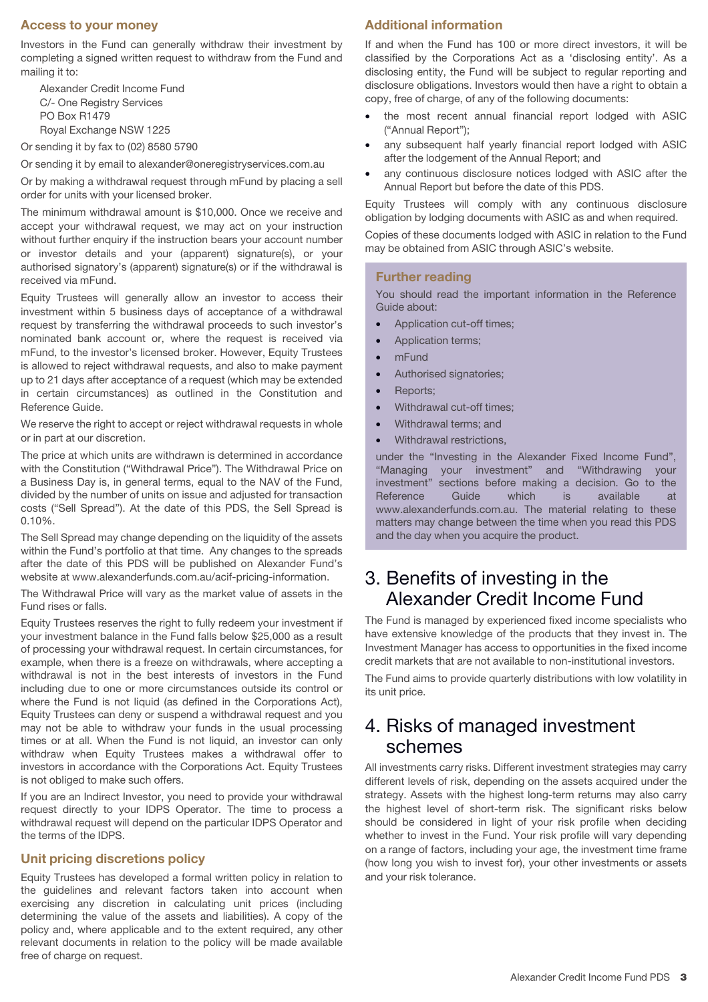### **Access to your money**

Investors in the Fund can generally withdraw their investment by completing a signed written request to withdraw from the Fund and mailing it to:

Alexander Credit Income Fund C/- One Registry Services PO Box R1479 Royal Exchange NSW 1225

Or sending it by fax to (02) 8580 5790

Or sending it by email to alexander@oneregistryservices.com.au

Or by making a withdrawal request through mFund by placing a sell order for units with your licensed broker.

The minimum withdrawal amount is \$10,000. Once we receive and accept your withdrawal request, we may act on your instruction without further enquiry if the instruction bears your account number or investor details and your (apparent) signature(s), or your authorised signatory's (apparent) signature(s) or if the withdrawal is received via mFund.

Equity Trustees will generally allow an investor to access their investment within 5 business days of acceptance of a withdrawal request by transferring the withdrawal proceeds to such investor's nominated bank account or, where the request is received via mFund, to the investor's licensed broker. However, Equity Trustees is allowed to reject withdrawal requests, and also to make payment up to 21 days after acceptance of a request (which may be extended in certain circumstances) as outlined in the Constitution and Reference Guide.

We reserve the right to accept or reject withdrawal requests in whole or in part at our discretion.

The price at which units are withdrawn is determined in accordance with the Constitution ("Withdrawal Price"). The Withdrawal Price on a Business Day is, in general terms, equal to the NAV of the Fund, divided by the number of units on issue and adjusted for transaction costs ("Sell Spread"). At the date of this PDS, the Sell Spread is 0.10%.

The Sell Spread may change depending on the liquidity of the assets within the Fund's portfolio at that time. Any changes to the spreads after the date of this PDS will be published on Alexander Fund's website at www.alexanderfunds.com.au/acif-pricing-information.

The Withdrawal Price will vary as the market value of assets in the Fund rises or falls.

Equity Trustees reserves the right to fully redeem your investment if your investment balance in the Fund falls below \$25,000 as a result of processing your withdrawal request. In certain circumstances, for example, when there is a freeze on withdrawals, where accepting a withdrawal is not in the best interests of investors in the Fund including due to one or more circumstances outside its control or where the Fund is not liquid (as defined in the Corporations Act), Equity Trustees can deny or suspend a withdrawal request and you may not be able to withdraw your funds in the usual processing times or at all. When the Fund is not liquid, an investor can only withdraw when Equity Trustees makes a withdrawal offer to investors in accordance with the Corporations Act. Equity Trustees is not obliged to make such offers.

If you are an Indirect Investor, you need to provide your withdrawal request directly to your IDPS Operator. The time to process a withdrawal request will depend on the particular IDPS Operator and the terms of the IDPS.

#### **Unit pricing discretions policy**

Equity Trustees has developed a formal written policy in relation to the guidelines and relevant factors taken into account when exercising any discretion in calculating unit prices (including determining the value of the assets and liabilities). A copy of the policy and, where applicable and to the extent required, any other relevant documents in relation to the policy will be made available free of charge on request.

# **Additional information**

If and when the Fund has 100 or more direct investors, it will be classified by the Corporations Act as a 'disclosing entity'. As a disclosing entity, the Fund will be subject to regular reporting and disclosure obligations. Investors would then have a right to obtain a copy, free of charge, of any of the following documents:

- the most recent annual financial report lodged with ASIC ("Annual Report");
- any subsequent half yearly financial report lodged with ASIC after the lodgement of the Annual Report; and
- any continuous disclosure notices lodged with ASIC after the Annual Report but before the date of this PDS.

Equity Trustees will comply with any continuous disclosure obligation by lodging documents with ASIC as and when required.

Copies of these documents lodged with ASIC in relation to the Fund may be obtained from ASIC through ASIC's website.

#### **Further reading**

You should read the important information in the Reference Guide about:

- Application cut-off times;
- Application terms;
- mFund
- Authorised signatories;
- Reports:
- Withdrawal cut-off times;
- Withdrawal terms; and
- Withdrawal restrictions,

under the "Investing in the Alexander Fixed Income Fund", "Managing your investment" and "Withdrawing your investment" sections before making a decision. Go to the Reference Guide which is available at www.alexanderfunds.com.au. The material relating to these matters may change between the time when you read this PDS and the day when you acquire the product.

# 3. Benefits of investing in the Alexander Credit Income Fund

The Fund is managed by experienced fixed income specialists who have extensive knowledge of the products that they invest in. The Investment Manager has access to opportunities in the fixed income credit markets that are not available to non-institutional investors.

The Fund aims to provide quarterly distributions with low volatility in its unit price.

# 4. Risks of managed investment schemes

All investments carry risks. Different investment strategies may carry different levels of risk, depending on the assets acquired under the strategy. Assets with the highest long-term returns may also carry the highest level of short-term risk. The significant risks below should be considered in light of your risk profile when deciding whether to invest in the Fund. Your risk profile will vary depending on a range of factors, including your age, the investment time frame (how long you wish to invest for), your other investments or assets and your risk tolerance.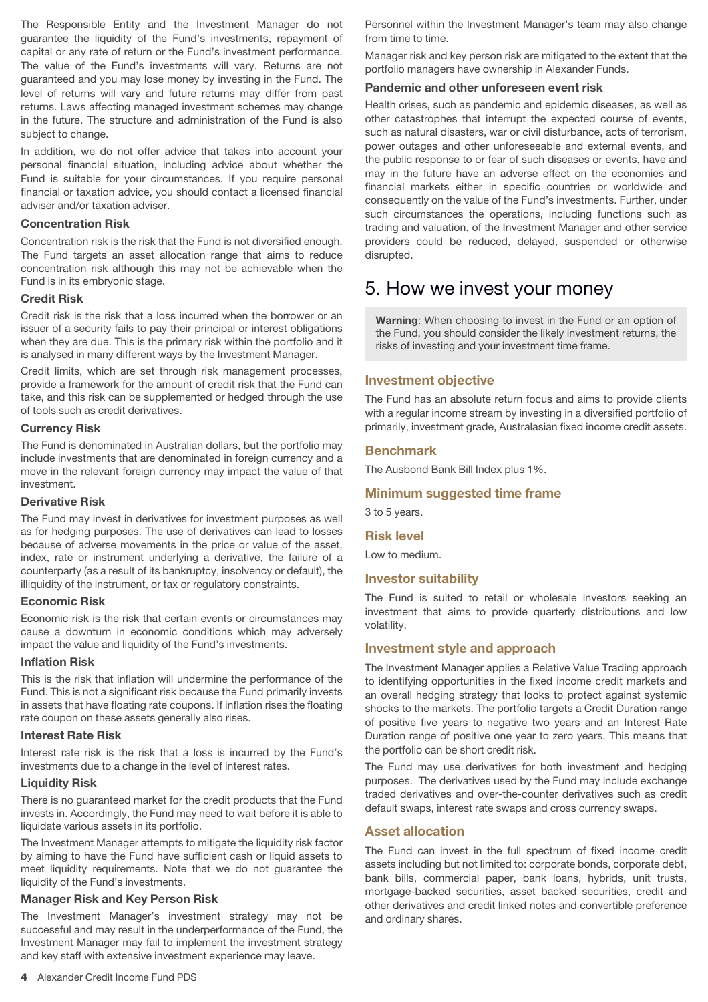The Responsible Entity and the Investment Manager do not guarantee the liquidity of the Fund's investments, repayment of capital or any rate of return or the Fund's investment performance. The value of the Fund's investments will vary. Returns are not guaranteed and you may lose money by investing in the Fund. The level of returns will vary and future returns may differ from past returns. Laws affecting managed investment schemes may change in the future. The structure and administration of the Fund is also subject to change.

In addition, we do not offer advice that takes into account your personal financial situation, including advice about whether the Fund is suitable for your circumstances. If you require personal financial or taxation advice, you should contact a licensed financial adviser and/or taxation adviser.

#### **Concentration Risk**

Concentration risk is the risk that the Fund is not diversified enough. The Fund targets an asset allocation range that aims to reduce concentration risk although this may not be achievable when the Fund is in its embryonic stage.

#### **Credit Risk**

Credit risk is the risk that a loss incurred when the borrower or an issuer of a security fails to pay their principal or interest obligations when they are due. This is the primary risk within the portfolio and it is analysed in many different ways by the Investment Manager.

Credit limits, which are set through risk management processes, provide a framework for the amount of credit risk that the Fund can take, and this risk can be supplemented or hedged through the use of tools such as credit derivatives.

#### **Currency Risk**

The Fund is denominated in Australian dollars, but the portfolio may include investments that are denominated in foreign currency and a move in the relevant foreign currency may impact the value of that investment.

#### **Derivative Risk**

The Fund may invest in derivatives for investment purposes as well as for hedging purposes. The use of derivatives can lead to losses because of adverse movements in the price or value of the asset, index, rate or instrument underlying a derivative, the failure of a counterparty (as a result of its bankruptcy, insolvency or default), the illiquidity of the instrument, or tax or regulatory constraints.

#### **Economic Risk**

Economic risk is the risk that certain events or circumstances may cause a downturn in economic conditions which may adversely impact the value and liquidity of the Fund's investments.

#### **Inflation Risk**

This is the risk that inflation will undermine the performance of the Fund. This is not a significant risk because the Fund primarily invests in assets that have floating rate coupons. If inflation rises the floating rate coupon on these assets generally also rises.

#### **Interest Rate Risk**

Interest rate risk is the risk that a loss is incurred by the Fund's investments due to a change in the level of interest rates.

#### **Liquidity Risk**

There is no guaranteed market for the credit products that the Fund invests in. Accordingly, the Fund may need to wait before it is able to liquidate various assets in its portfolio.

The Investment Manager attempts to mitigate the liquidity risk factor by aiming to have the Fund have sufficient cash or liquid assets to meet liquidity requirements. Note that we do not guarantee the liquidity of the Fund's investments.

#### **Manager Risk and Key Person Risk**

The Investment Manager's investment strategy may not be successful and may result in the underperformance of the Fund, the Investment Manager may fail to implement the investment strategy and key staff with extensive investment experience may leave.

Personnel within the Investment Manager's team may also change from time to time.

Manager risk and key person risk are mitigated to the extent that the portfolio managers have ownership in Alexander Funds.

#### **Pandemic and other unforeseen event risk**

Health crises, such as pandemic and epidemic diseases, as well as other catastrophes that interrupt the expected course of events, such as natural disasters, war or civil disturbance, acts of terrorism, power outages and other unforeseeable and external events, and the public response to or fear of such diseases or events, have and may in the future have an adverse effect on the economies and financial markets either in specific countries or worldwide and consequently on the value of the Fund's investments. Further, under such circumstances the operations, including functions such as trading and valuation, of the Investment Manager and other service providers could be reduced, delayed, suspended or otherwise disrupted.

# 5. How we invest your money

**Warning**: When choosing to invest in the Fund or an option of the Fund, you should consider the likely investment returns, the risks of investing and your investment time frame.

#### **Investment objective**

The Fund has an absolute return focus and aims to provide clients with a regular income stream by investing in a diversified portfolio of primarily, investment grade, Australasian fixed income credit assets.

#### **Benchmark**

The Ausbond Bank Bill Index plus 1%.

#### **Minimum suggested time frame**

3 to 5 years.

#### **Risk level**

Low to medium.

# **Investor suitability**

The Fund is suited to retail or wholesale investors seeking an investment that aims to provide quarterly distributions and low volatility.

#### **Investment style and approach**

The Investment Manager applies a Relative Value Trading approach to identifying opportunities in the fixed income credit markets and an overall hedging strategy that looks to protect against systemic shocks to the markets. The portfolio targets a Credit Duration range of positive five years to negative two years and an Interest Rate Duration range of positive one year to zero years. This means that the portfolio can be short credit risk.

The Fund may use derivatives for both investment and hedging purposes. The derivatives used by the Fund may include exchange traded derivatives and over-the-counter derivatives such as credit default swaps, interest rate swaps and cross currency swaps.

#### **Asset allocation**

The Fund can invest in the full spectrum of fixed income credit assets including but not limited to: corporate bonds, corporate debt, bank bills, commercial paper, bank loans, hybrids, unit trusts, mortgage-backed securities, asset backed securities, credit and other derivatives and credit linked notes and convertible preference and ordinary shares.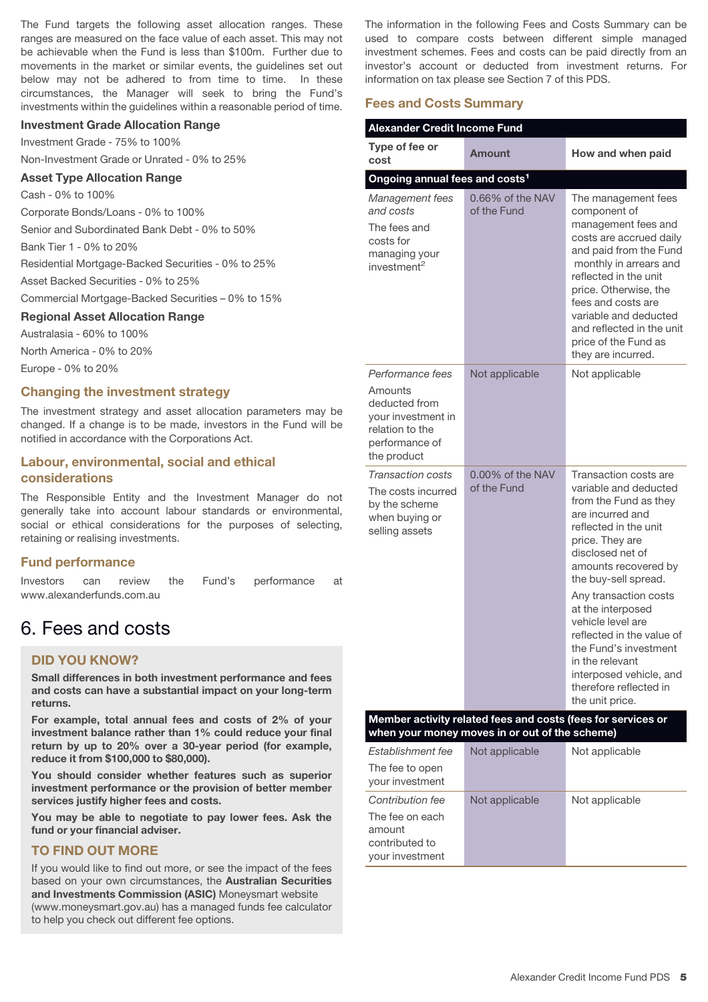The Fund targets the following asset allocation ranges. These ranges are measured on the face value of each asset. This may not be achievable when the Fund is less than \$100m. Further due to movements in the market or similar events, the guidelines set out below may not be adhered to from time to time. In these circumstances, the Manager will seek to bring the Fund's investments within the guidelines within a reasonable period of time.

#### **Investment Grade Allocation Range**

Investment Grade - 75% to 100%

Non-Investment Grade or Unrated - 0% to 25%

#### **Asset Type Allocation Range**

Cash - 0% to 100%

Corporate Bonds/Loans - 0% to 100%

Senior and Subordinated Bank Debt - 0% to 50%

Bank Tier 1 - 0% to 20%

Residential Mortgage-Backed Securities - 0% to 25%

Asset Backed Securities - 0% to 25%

Commercial Mortgage-Backed Securities – 0% to 15%

# **Regional Asset Allocation Range**

Australasia - 60% to 100%

North America - 0% to 20%

Europe - 0% to 20%

### **Changing the investment strategy**

The investment strategy and asset allocation parameters may be changed. If a change is to be made, investors in the Fund will be notified in accordance with the Corporations Act.

# **Labour, environmental, social and ethical considerations**

The Responsible Entity and the Investment Manager do not generally take into account labour standards or environmental, social or ethical considerations for the purposes of selecting, retaining or realising investments.

#### **Fund performance**

Investors can review the Fund's performance at www.alexanderfunds.com.au

# 6. Fees and costs

# **DID YOU KNOW?**

**Small differences in both investment performance and fees and costs can have a substantial impact on your long-term returns.**

**For example, total annual fees and costs of 2% of your investment balance rather than 1% could reduce your final return by up to 20% over a 30-year period (for example, reduce it from \$100,000 to \$80,000).**

**You should consider whether features such as superior investment performance or the provision of better member services justify higher fees and costs.**

**You may be able to negotiate to pay lower fees. Ask the fund or your financial adviser.**

### **TO FIND OUT MORE**

If you would like to find out more, or see the impact of the fees based on your own circumstances, the **Australian Securities and Investments Commission (ASIC)** Moneysmart website (www.moneysmart.gov.au) has a managed funds fee calculator to help you check out different fee options.

The information in the following Fees and Costs Summary can be used to compare costs between different simple managed investment schemes. Fees and costs can be paid directly from an investor's account or deducted from investment returns. For information on tax please see Section 7 of this PDS.

#### **Fees and Costs Summary**

| <b>Alexander Credit Income Fund</b>                                                                                    |                                 |                                                                                                                                                                                                                                                                                                                                                                                                                                 |  |  |
|------------------------------------------------------------------------------------------------------------------------|---------------------------------|---------------------------------------------------------------------------------------------------------------------------------------------------------------------------------------------------------------------------------------------------------------------------------------------------------------------------------------------------------------------------------------------------------------------------------|--|--|
| Type of fee or<br>cost                                                                                                 | Amount                          | How and when paid                                                                                                                                                                                                                                                                                                                                                                                                               |  |  |
| Ongoing annual fees and costs <sup>1</sup>                                                                             |                                 |                                                                                                                                                                                                                                                                                                                                                                                                                                 |  |  |
| Management fees<br>and costs<br>The fees and<br>costs for<br>managing your<br>investment <sup>2</sup>                  | 0.66% of the NAV<br>of the Fund | The management fees<br>component of<br>management fees and<br>costs are accrued daily<br>and paid from the Fund<br>monthly in arrears and<br>reflected in the unit<br>price. Otherwise, the<br>fees and costs are<br>variable and deducted<br>and reflected in the unit<br>price of the Fund as<br>they are incurred.                                                                                                           |  |  |
| Performance fees<br>Amounts<br>deducted from<br>your investment in<br>relation to the<br>performance of<br>the product | Not applicable                  | Not applicable                                                                                                                                                                                                                                                                                                                                                                                                                  |  |  |
| <b>Transaction costs</b><br>The costs incurred<br>by the scheme<br>when buying or<br>selling assets                    | 0.00% of the NAV<br>of the Fund | Transaction costs are<br>variable and deducted<br>from the Fund as they<br>are incurred and<br>reflected in the unit<br>price. They are<br>disclosed net of<br>amounts recovered by<br>the buy-sell spread.<br>Any transaction costs<br>at the interposed<br>vehicle level are<br>reflected in the value of<br>the Fund's investment<br>in the relevant<br>interposed vehicle, and<br>therefore reflected in<br>the unit price. |  |  |
| Member activity related fees and costs (fees for services or<br>when your money moves in or out of the scheme)         |                                 |                                                                                                                                                                                                                                                                                                                                                                                                                                 |  |  |

| Establishment fee                  | Not applicable | Not applicable |
|------------------------------------|----------------|----------------|
| The fee to open<br>your investment |                |                |
| Contribution fee                   | Not applicable | Not applicable |
| The fee on each                    |                |                |
| amount                             |                |                |
| contributed to                     |                |                |
| your investment                    |                |                |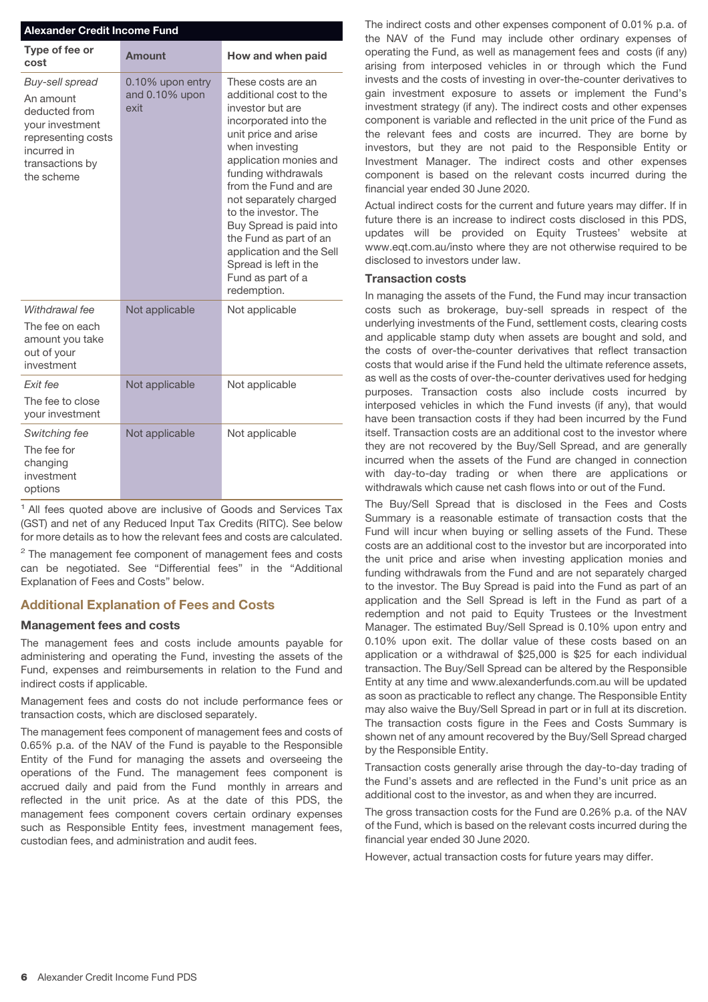| <b>Alexander Credit Income Fund</b>                                                                                                    |                                            |                                                                                                                                                                                                                                                                                                                                                                                                               |  |  |
|----------------------------------------------------------------------------------------------------------------------------------------|--------------------------------------------|---------------------------------------------------------------------------------------------------------------------------------------------------------------------------------------------------------------------------------------------------------------------------------------------------------------------------------------------------------------------------------------------------------------|--|--|
| Type of fee or<br>cost                                                                                                                 | Amount                                     | How and when paid                                                                                                                                                                                                                                                                                                                                                                                             |  |  |
| Buy-sell spread<br>An amount<br>deducted from<br>your investment<br>representing costs<br>incurred in<br>transactions by<br>the scheme | 0.10% upon entry<br>and 0.10% upon<br>exit | These costs are an<br>additional cost to the<br>investor but are<br>incorporated into the<br>unit price and arise<br>when investing<br>application monies and<br>funding withdrawals<br>from the Fund and are<br>not separately charged<br>to the investor. The<br>Buy Spread is paid into<br>the Fund as part of an<br>application and the Sell<br>Spread is left in the<br>Fund as part of a<br>redemption. |  |  |
| Withdrawal fee<br>The fee on each<br>amount you take<br>out of your<br>investment                                                      | Not applicable                             | Not applicable                                                                                                                                                                                                                                                                                                                                                                                                |  |  |
| Fxit fee<br>The fee to close<br>your investment                                                                                        | Not applicable                             | Not applicable                                                                                                                                                                                                                                                                                                                                                                                                |  |  |
| Switching fee<br>The fee for<br>changing<br>investment<br>options                                                                      | Not applicable                             | Not applicable                                                                                                                                                                                                                                                                                                                                                                                                |  |  |

<sup>1</sup> All fees quoted above are inclusive of Goods and Services Tax (GST) and net of any Reduced Input Tax Credits (RITC). See below for more details as to how the relevant fees and costs are calculated.

 $2$  The management fee component of management fees and costs can be negotiated. See "Differential fees" in the "Additional Explanation of Fees and Costs" below.

# **Additional Explanation of Fees and Costs**

#### **Management fees and costs**

The management fees and costs include amounts payable for administering and operating the Fund, investing the assets of the Fund, expenses and reimbursements in relation to the Fund and indirect costs if applicable.

Management fees and costs do not include performance fees or transaction costs, which are disclosed separately.

The management fees component of management fees and costs of 0.65% p.a. of the NAV of the Fund is payable to the Responsible Entity of the Fund for managing the assets and overseeing the operations of the Fund. The management fees component is accrued daily and paid from the Fund monthly in arrears and reflected in the unit price. As at the date of this PDS, the management fees component covers certain ordinary expenses such as Responsible Entity fees, investment management fees, custodian fees, and administration and audit fees.

The indirect costs and other expenses component of 0.01% p.a. of the NAV of the Fund may include other ordinary expenses of operating the Fund, as well as management fees and costs (if any) arising from interposed vehicles in or through which the Fund invests and the costs of investing in over-the-counter derivatives to gain investment exposure to assets or implement the Fund's investment strategy (if any). The indirect costs and other expenses component is variable and reflected in the unit price of the Fund as the relevant fees and costs are incurred. They are borne by investors, but they are not paid to the Responsible Entity or Investment Manager. The indirect costs and other expenses component is based on the relevant costs incurred during the financial year ended 30 June 2020.

Actual indirect costs for the current and future years may differ. If in future there is an increase to indirect costs disclosed in this PDS, updates will be provided on Equity Trustees' website at www.eqt.com.au/insto where they are not otherwise required to be disclosed to investors under law.

#### **Transaction costs**

In managing the assets of the Fund, the Fund may incur transaction costs such as brokerage, buy-sell spreads in respect of the underlying investments of the Fund, settlement costs, clearing costs and applicable stamp duty when assets are bought and sold, and the costs of over-the-counter derivatives that reflect transaction costs that would arise if the Fund held the ultimate reference assets, as well as the costs of over-the-counter derivatives used for hedging purposes. Transaction costs also include costs incurred by interposed vehicles in which the Fund invests (if any), that would have been transaction costs if they had been incurred by the Fund itself. Transaction costs are an additional cost to the investor where they are not recovered by the Buy/Sell Spread, and are generally incurred when the assets of the Fund are changed in connection with day-to-day trading or when there are applications or withdrawals which cause net cash flows into or out of the Fund.

The Buy/Sell Spread that is disclosed in the Fees and Costs Summary is a reasonable estimate of transaction costs that the Fund will incur when buying or selling assets of the Fund. These costs are an additional cost to the investor but are incorporated into the unit price and arise when investing application monies and funding withdrawals from the Fund and are not separately charged to the investor. The Buy Spread is paid into the Fund as part of an application and the Sell Spread is left in the Fund as part of a redemption and not paid to Equity Trustees or the Investment Manager. The estimated Buy/Sell Spread is 0.10% upon entry and 0.10% upon exit. The dollar value of these costs based on an application or a withdrawal of \$25,000 is \$25 for each individual transaction. The Buy/Sell Spread can be altered by the Responsible Entity at any time and www.alexanderfunds.com.au will be updated as soon as practicable to reflect any change. The Responsible Entity may also waive the Buy/Sell Spread in part or in full at its discretion. The transaction costs figure in the Fees and Costs Summary is shown net of any amount recovered by the Buy/Sell Spread charged by the Responsible Entity.

Transaction costs generally arise through the day-to-day trading of the Fund's assets and are reflected in the Fund's unit price as an additional cost to the investor, as and when they are incurred.

The gross transaction costs for the Fund are 0.26% p.a. of the NAV of the Fund, which is based on the relevant costs incurred during the financial year ended 30 June 2020.

However, actual transaction costs for future years may differ.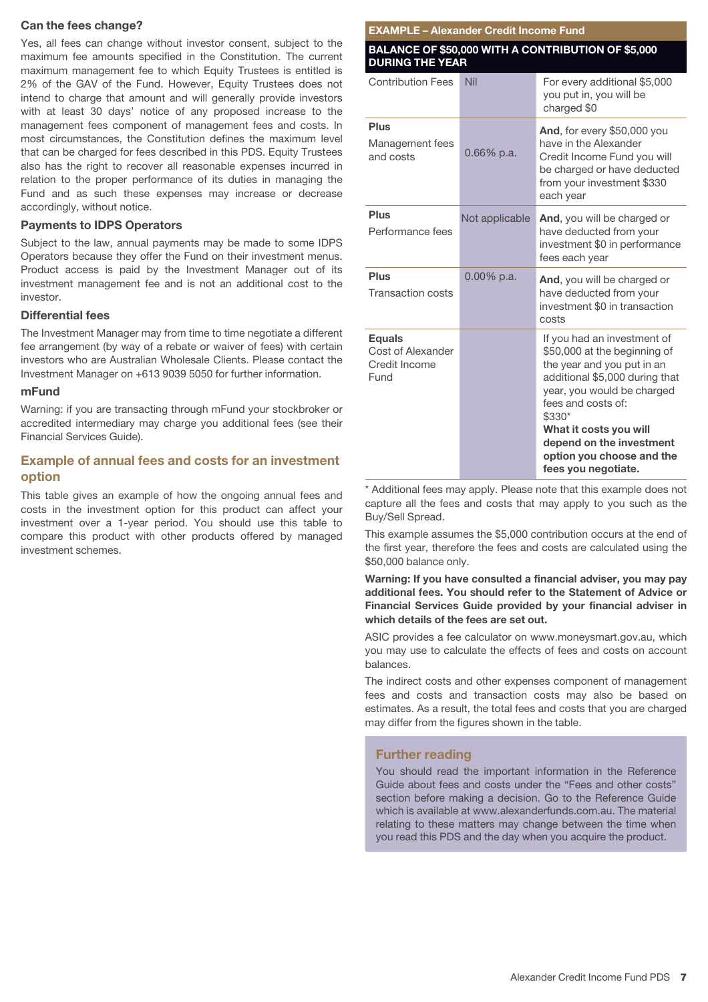#### **Can the fees change?**

Yes, all fees can change without investor consent, subject to the maximum fee amounts specified in the Constitution. The current maximum management fee to which Equity Trustees is entitled is 2% of the GAV of the Fund. However, Equity Trustees does not intend to charge that amount and will generally provide investors with at least 30 days' notice of any proposed increase to the management fees component of management fees and costs. In most circumstances, the Constitution defines the maximum level that can be charged for fees described in this PDS. Equity Trustees also has the right to recover all reasonable expenses incurred in relation to the proper performance of its duties in managing the Fund and as such these expenses may increase or decrease accordingly, without notice.

#### **Payments to IDPS Operators**

Subject to the law, annual payments may be made to some IDPS Operators because they offer the Fund on their investment menus. Product access is paid by the Investment Manager out of its investment management fee and is not an additional cost to the investor.

#### **Differential fees**

The Investment Manager may from time to time negotiate a different fee arrangement (by way of a rebate or waiver of fees) with certain investors who are Australian Wholesale Clients. Please contact the Investment Manager on +613 9039 5050 for further information.

#### **mFund**

Warning: if you are transacting through mFund your stockbroker or accredited intermediary may charge you additional fees (see their Financial Services Guide).

# **Example of annual fees and costs for an investment option**

This table gives an example of how the ongoing annual fees and costs in the investment option for this product can affect your investment over a 1-year period. You should use this table to compare this product with other products offered by managed investment schemes.

#### **EXAMPLE – Alexander Credit Income Fund**

#### **BALANCE OF \$50,000 WITH A CONTRIBUTION OF \$5,000 DURING THE YEAR**

| <b>Contribution Fees</b>                                    | Nil            | For every additional \$5,000<br>you put in, you will be<br>charged \$0                                                                                                                                                                                                                              |
|-------------------------------------------------------------|----------------|-----------------------------------------------------------------------------------------------------------------------------------------------------------------------------------------------------------------------------------------------------------------------------------------------------|
| <b>Plus</b><br>Management fees<br>and costs                 | 0.66% p.a.     | And, for every \$50,000 you<br>have in the Alexander<br>Credit Income Fund you will<br>be charged or have deducted<br>from your investment \$330<br>each year                                                                                                                                       |
| <b>Plus</b><br>Performance fees                             | Not applicable | And, you will be charged or<br>have deducted from your<br>investment \$0 in performance<br>fees each year                                                                                                                                                                                           |
| <b>Plus</b><br><b>Transaction costs</b>                     | $0.00\%$ p.a.  | And, you will be charged or<br>have deducted from your<br>investment \$0 in transaction<br>costs                                                                                                                                                                                                    |
| <b>Equals</b><br>Cost of Alexander<br>Credit Income<br>Fund |                | If you had an investment of<br>\$50,000 at the beginning of<br>the year and you put in an<br>additional \$5,000 during that<br>year, you would be charged<br>fees and costs of:<br>\$330*<br>What it costs you will<br>depend on the investment<br>option you choose and the<br>fees you negotiate. |

\* Additional fees may apply. Please note that this example does not capture all the fees and costs that may apply to you such as the Buy/Sell Spread.

This example assumes the \$5,000 contribution occurs at the end of the first year, therefore the fees and costs are calculated using the \$50,000 balance only.

**Warning: If you have consulted a financial adviser, you may pay additional fees. You should refer to the Statement of Advice or Financial Services Guide provided by your financial adviser in which details of the fees are set out.**

ASIC provides a fee calculator on www.moneysmart.gov.au, which you may use to calculate the effects of fees and costs on account balances.

The indirect costs and other expenses component of management fees and costs and transaction costs may also be based on estimates. As a result, the total fees and costs that you are charged may differ from the figures shown in the table.

# **Further reading**

You should read the important information in the Reference Guide about fees and costs under the "Fees and other costs" section before making a decision. Go to the Reference Guide which is available at www.alexanderfunds.com.au. The material relating to these matters may change between the time when you read this PDS and the day when you acquire the product.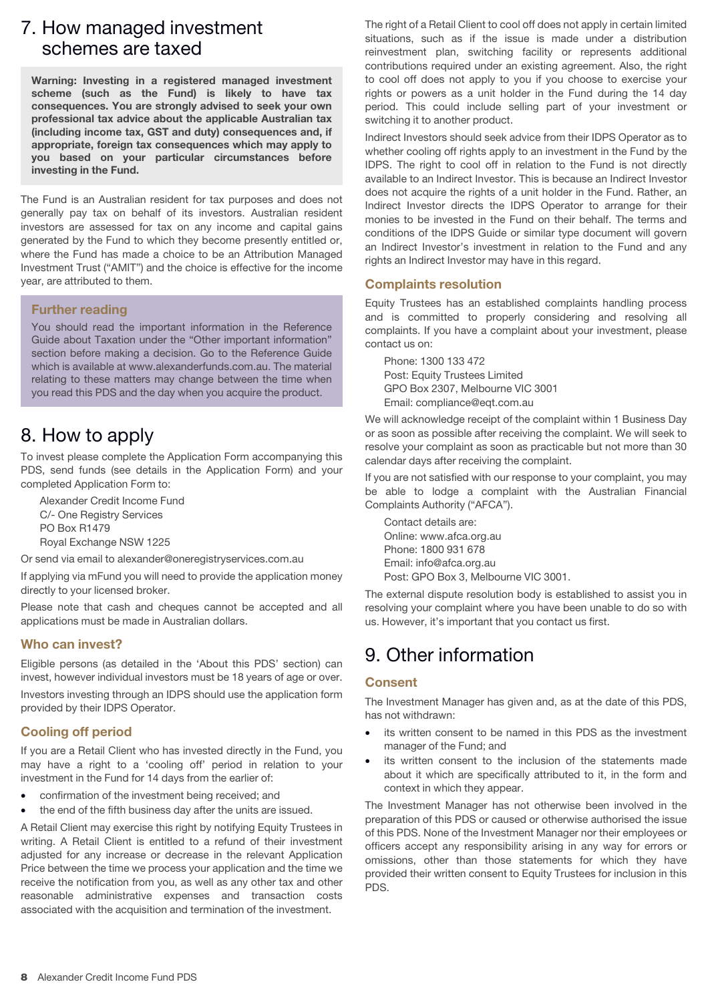# 7. How managed investment schemes are taxed

**Warning: Investing in a registered managed investment scheme (such as the Fund) is likely to have tax consequences. You are strongly advised to seek your own professional tax advice about the applicable Australian tax (including income tax, GST and duty) consequences and, if appropriate, foreign tax consequences which may apply to you based on your particular circumstances before investing in the Fund.**

The Fund is an Australian resident for tax purposes and does not generally pay tax on behalf of its investors. Australian resident investors are assessed for tax on any income and capital gains generated by the Fund to which they become presently entitled or, where the Fund has made a choice to be an Attribution Managed Investment Trust ("AMIT") and the choice is effective for the income year, are attributed to them.

### **Further reading**

You should read the important information in the Reference Guide about Taxation under the "Other important information" section before making a decision. Go to the Reference Guide which is available at www.alexanderfunds.com.au. The material relating to these matters may change between the time when you read this PDS and the day when you acquire the product.

# 8. How to apply

To invest please complete the Application Form accompanying this PDS, send funds (see details in the Application Form) and your completed Application Form to:

Alexander Credit Income Fund C/- One Registry Services PO Box R1479 Royal Exchange NSW 1225

Or send via email to alexander@oneregistryservices.com.au

If applying via mFund you will need to provide the application money directly to your licensed broker.

Please note that cash and cheques cannot be accepted and all applications must be made in Australian dollars.

# **Who can invest?**

Eligible persons (as detailed in the 'About this PDS' section) can invest, however individual investors must be 18 years of age or over.

Investors investing through an IDPS should use the application form provided by their IDPS Operator.

# **Cooling off period**

If you are a Retail Client who has invested directly in the Fund, you may have a right to a 'cooling off' period in relation to your investment in the Fund for 14 days from the earlier of:

- confirmation of the investment being received; and
- the end of the fifth business day after the units are issued.

A Retail Client may exercise this right by notifying Equity Trustees in writing. A Retail Client is entitled to a refund of their investment adjusted for any increase or decrease in the relevant Application Price between the time we process your application and the time we receive the notification from you, as well as any other tax and other reasonable administrative expenses and transaction costs associated with the acquisition and termination of the investment.

The right of a Retail Client to cool off does not apply in certain limited situations, such as if the issue is made under a distribution reinvestment plan, switching facility or represents additional contributions required under an existing agreement. Also, the right to cool off does not apply to you if you choose to exercise your rights or powers as a unit holder in the Fund during the 14 day period. This could include selling part of your investment or switching it to another product.

Indirect Investors should seek advice from their IDPS Operator as to whether cooling off rights apply to an investment in the Fund by the IDPS. The right to cool off in relation to the Fund is not directly available to an Indirect Investor. This is because an Indirect Investor does not acquire the rights of a unit holder in the Fund. Rather, an Indirect Investor directs the IDPS Operator to arrange for their monies to be invested in the Fund on their behalf. The terms and conditions of the IDPS Guide or similar type document will govern an Indirect Investor's investment in relation to the Fund and any rights an Indirect Investor may have in this regard.

### **Complaints resolution**

Equity Trustees has an established complaints handling process and is committed to properly considering and resolving all complaints. If you have a complaint about your investment, please contact us on:

Phone: 1300 133 472 Post: Equity Trustees Limited GPO Box 2307, Melbourne VIC 3001 Email: compliance@eqt.com.au

We will acknowledge receipt of the complaint within 1 Business Day or as soon as possible after receiving the complaint. We will seek to resolve your complaint as soon as practicable but not more than 30 calendar days after receiving the complaint.

If you are not satisfied with our response to your complaint, you may be able to lodge a complaint with the Australian Financial Complaints Authority ("AFCA").

Contact details are: Online: www.afca.org.au Phone: 1800 931 678 Email: info@afca.org.au Post: GPO Box 3, Melbourne VIC 3001.

The external dispute resolution body is established to assist you in resolving your complaint where you have been unable to do so with us. However, it's important that you contact us first.

# 9. Other information

# **Consent**

The Investment Manager has given and, as at the date of this PDS, has not withdrawn:

- its written consent to be named in this PDS as the investment manager of the Fund; and
- its written consent to the inclusion of the statements made about it which are specifically attributed to it, in the form and context in which they appear.

The Investment Manager has not otherwise been involved in the preparation of this PDS or caused or otherwise authorised the issue of this PDS. None of the Investment Manager nor their employees or officers accept any responsibility arising in any way for errors or omissions, other than those statements for which they have provided their written consent to Equity Trustees for inclusion in this PDS.